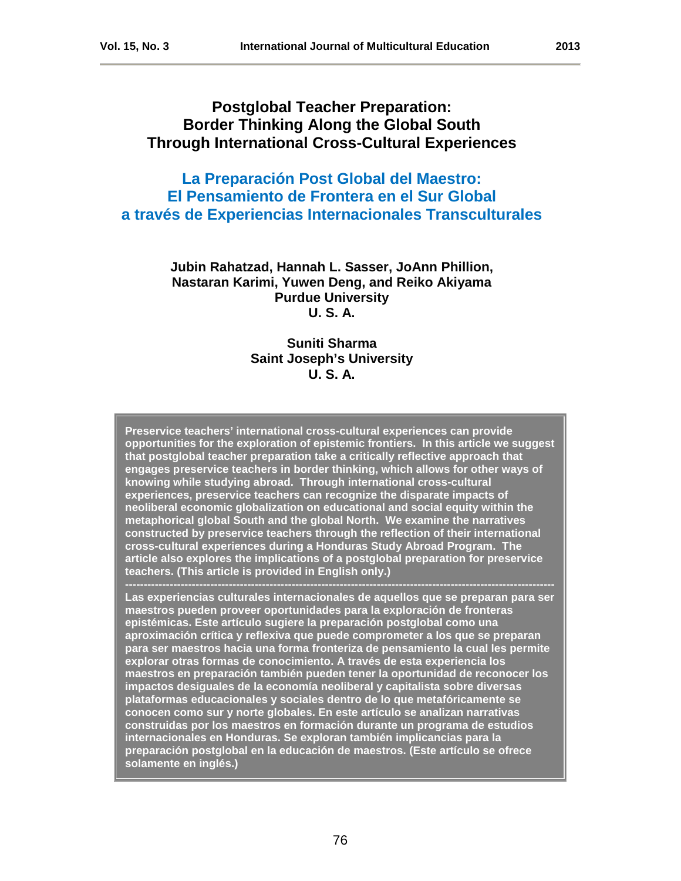## **Postglobal Teacher Preparation: Border Thinking Along the Global South Through International Cross-Cultural Experiences**

# **La Preparación Post Global del Maestro: El Pensamiento de Frontera en el Sur Global a través de Experiencias Internacionales Transculturales**

#### **Jubin Rahatzad, Hannah L. Sasser, JoAnn Phillion, Nastaran Karimi, Yuwen Deng, and Reiko Akiyama Purdue University U. S. A.**

### **Suniti Sharma Saint Joseph's University U. S. A.**

**Preservice teachers' international cross-cultural experiences can provide opportunities for the exploration of epistemic frontiers. In this article we suggest that postglobal teacher preparation take a critically reflective approach that engages preservice teachers in border thinking, which allows for other ways of knowing while studying abroad. Through international cross-cultural experiences, preservice teachers can recognize the disparate impacts of neoliberal economic globalization on educational and social equity within the metaphorical global South and the global North. We examine the narratives constructed by preservice teachers through the reflection of their international cross-cultural experiences during a Honduras Study Abroad Program. The article also explores the implications of a postglobal preparation for preservice teachers. (This article is provided in English only.)**

**Las experiencias culturales internacionales de aquellos que se preparan para ser maestros pueden proveer oportunidades para la exploración de fronteras epistémicas. Este artículo sugiere la preparación postglobal como una aproximación crítica y reflexiva que puede comprometer a los que se preparan para ser maestros hacia una forma fronteriza de pensamiento la cual les permite explorar otras formas de conocimiento. A través de esta experiencia los maestros en preparación también pueden tener la oportunidad de reconocer los impactos desiguales de la economía neoliberal y capitalista sobre diversas plataformas educacionales y sociales dentro de lo que metafóricamente se conocen como sur y norte globales. En este artículo se analizan narrativas construidas por los maestros en formación durante un programa de estudios internacionales en Honduras. Se exploran también implicancias para la preparación postglobal en la educación de maestros. (Este artículo se ofrece solamente en inglés.)**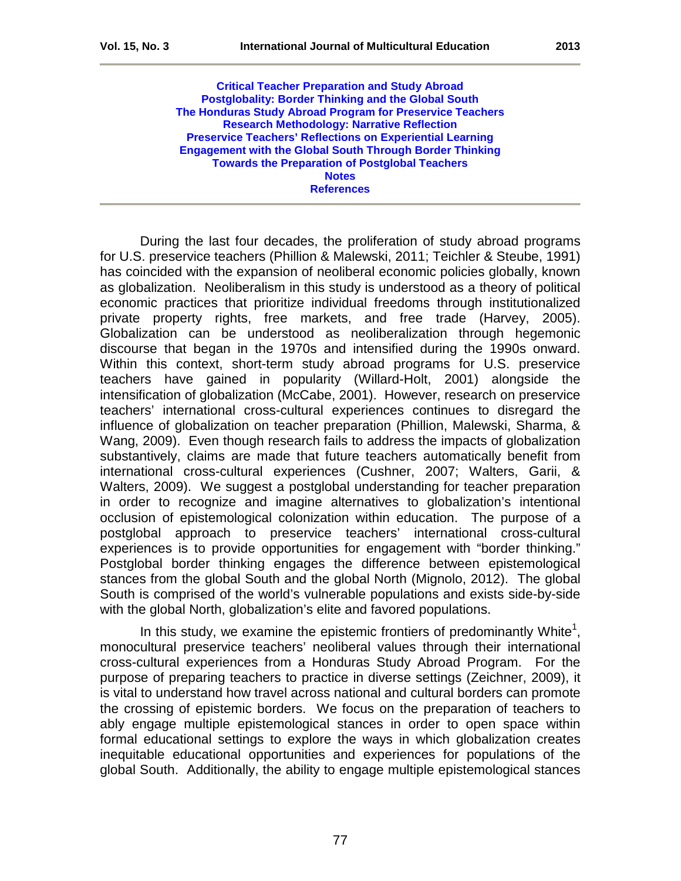**[Critical Teacher Preparation and Study Abroad](#page-2-0) [Postglobality: Border Thinking and the Global South](#page-4-0) [The Honduras Study Abroad Program for Preservice Teachers](#page-5-0) [Research Methodology: Narrative Reflection](#page-7-0) [Preservice Teachers' Reflections on Experiential Learning](#page-10-0) [Engagement with the Global South Through Border Thinking](#page-15-0) [Towards the Preparation of Postglobal Teachers](#page-17-0) [Notes](#page-18-0) [References](#page-18-1)**

During the last four decades, the proliferation of study abroad programs for U.S. preservice teachers (Phillion & Malewski, 2011; Teichler & Steube, 1991) has coincided with the expansion of neoliberal economic policies globally, known as globalization. Neoliberalism in this study is understood as a theory of political economic practices that prioritize individual freedoms through institutionalized private property rights, free markets, and free trade (Harvey, 2005). Globalization can be understood as neoliberalization through hegemonic discourse that began in the 1970s and intensified during the 1990s onward. Within this context, short-term study abroad programs for U.S. preservice teachers have gained in popularity (Willard-Holt, 2001) alongside the intensification of globalization (McCabe, 2001). However, research on preservice teachers' international cross-cultural experiences continues to disregard the influence of globalization on teacher preparation (Phillion, Malewski, Sharma, & Wang, 2009). Even though research fails to address the impacts of globalization substantively, claims are made that future teachers automatically benefit from international cross-cultural experiences (Cushner, 2007; Walters, Garii, & Walters, 2009). We suggest a postglobal understanding for teacher preparation in order to recognize and imagine alternatives to globalization's intentional occlusion of epistemological colonization within education. The purpose of a postglobal approach to preservice teachers' international cross-cultural experiences is to provide opportunities for engagement with "border thinking." Postglobal border thinking engages the difference between epistemological stances from the global South and the global North (Mignolo, 2012). The global South is comprised of the world's vulnerable populations and exists side-by-side with the global North, globalization's elite and favored populations.

In this study, we examine the epistemic frontiers of predominantly White<sup>[1](#page-18-2)</sup>, monocultural preservice teachers' neoliberal values through their international cross-cultural experiences from a Honduras Study Abroad Program. For the purpose of preparing teachers to practice in diverse settings (Zeichner, 2009), it is vital to understand how travel across national and cultural borders can promote the crossing of epistemic borders. We focus on the preparation of teachers to ably engage multiple epistemological stances in order to open space within formal educational settings to explore the ways in which globalization creates inequitable educational opportunities and experiences for populations of the global South. Additionally, the ability to engage multiple epistemological stances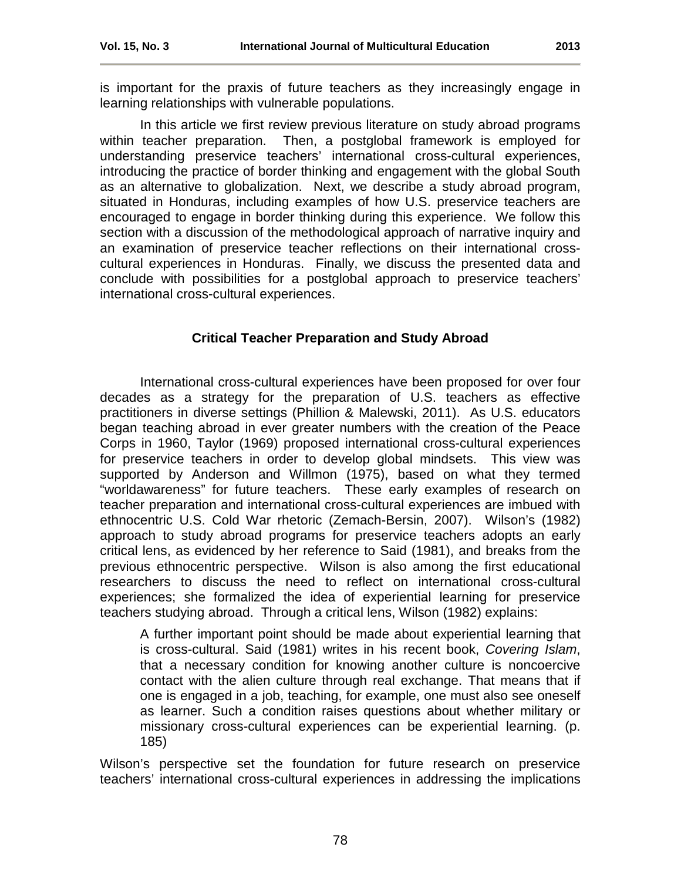is important for the praxis of future teachers as they increasingly engage in learning relationships with vulnerable populations.

In this article we first review previous literature on study abroad programs within teacher preparation. Then, a postglobal framework is employed for understanding preservice teachers' international cross-cultural experiences, introducing the practice of border thinking and engagement with the global South as an alternative to globalization. Next, we describe a study abroad program, situated in Honduras, including examples of how U.S. preservice teachers are encouraged to engage in border thinking during this experience. We follow this section with a discussion of the methodological approach of narrative inquiry and an examination of preservice teacher reflections on their international crosscultural experiences in Honduras. Finally, we discuss the presented data and conclude with possibilities for a postglobal approach to preservice teachers' international cross-cultural experiences.

### **Critical Teacher Preparation and Study Abroad**

<span id="page-2-0"></span>International cross-cultural experiences have been proposed for over four decades as a strategy for the preparation of U.S. teachers as effective practitioners in diverse settings (Phillion & Malewski, 2011). As U.S. educators began teaching abroad in ever greater numbers with the creation of the Peace Corps in 1960, Taylor (1969) proposed international cross-cultural experiences for preservice teachers in order to develop global mindsets. This view was supported by Anderson and Willmon (1975), based on what they termed "worldawareness" for future teachers. These early examples of research on teacher preparation and international cross-cultural experiences are imbued with ethnocentric U.S. Cold War rhetoric (Zemach-Bersin, 2007). Wilson's (1982) approach to study abroad programs for preservice teachers adopts an early critical lens, as evidenced by her reference to Said (1981), and breaks from the previous ethnocentric perspective. Wilson is also among the first educational researchers to discuss the need to reflect on international cross-cultural experiences; she formalized the idea of experiential learning for preservice teachers studying abroad. Through a critical lens, Wilson (1982) explains:

A further important point should be made about experiential learning that is cross-cultural. Said (1981) writes in his recent book, *Covering Islam*, that a necessary condition for knowing another culture is noncoercive contact with the alien culture through real exchange. That means that if one is engaged in a job, teaching, for example, one must also see oneself as learner. Such a condition raises questions about whether military or missionary cross-cultural experiences can be experiential learning. (p. 185)

Wilson's perspective set the foundation for future research on preservice teachers' international cross-cultural experiences in addressing the implications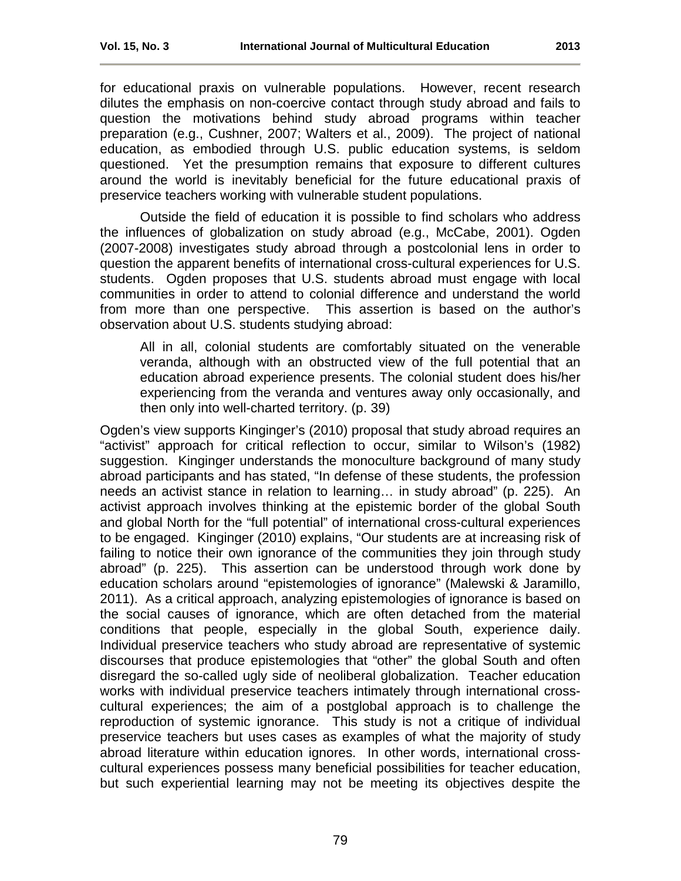for educational praxis on vulnerable populations. However, recent research dilutes the emphasis on non-coercive contact through study abroad and fails to question the motivations behind study abroad programs within teacher preparation (e.g., Cushner, 2007; Walters et al., 2009). The project of national education, as embodied through U.S. public education systems, is seldom questioned. Yet the presumption remains that exposure to different cultures around the world is inevitably beneficial for the future educational praxis of preservice teachers working with vulnerable student populations.

Outside the field of education it is possible to find scholars who address the influences of globalization on study abroad (e.g., McCabe, 2001). Ogden (2007-2008) investigates study abroad through a postcolonial lens in order to question the apparent benefits of international cross-cultural experiences for U.S. students. Ogden proposes that U.S. students abroad must engage with local communities in order to attend to colonial difference and understand the world from more than one perspective. This assertion is based on the author's observation about U.S. students studying abroad:

All in all, colonial students are comfortably situated on the venerable veranda, although with an obstructed view of the full potential that an education abroad experience presents. The colonial student does his/her experiencing from the veranda and ventures away only occasionally, and then only into well-charted territory. (p. 39)

Ogden's view supports Kinginger's (2010) proposal that study abroad requires an "activist" approach for critical reflection to occur, similar to Wilson's (1982) suggestion. Kinginger understands the monoculture background of many study abroad participants and has stated, "In defense of these students, the profession needs an activist stance in relation to learning… in study abroad" (p. 225). An activist approach involves thinking at the epistemic border of the global South and global North for the "full potential" of international cross-cultural experiences to be engaged. Kinginger (2010) explains, "Our students are at increasing risk of failing to notice their own ignorance of the communities they join through study abroad" (p. 225). This assertion can be understood through work done by education scholars around "epistemologies of ignorance" (Malewski & Jaramillo, 2011). As a critical approach, analyzing epistemologies of ignorance is based on the social causes of ignorance, which are often detached from the material conditions that people, especially in the global South, experience daily. Individual preservice teachers who study abroad are representative of systemic discourses that produce epistemologies that "other" the global South and often disregard the so-called ugly side of neoliberal globalization. Teacher education works with individual preservice teachers intimately through international crosscultural experiences; the aim of a postglobal approach is to challenge the reproduction of systemic ignorance. This study is not a critique of individual preservice teachers but uses cases as examples of what the majority of study abroad literature within education ignores. In other words, international crosscultural experiences possess many beneficial possibilities for teacher education, but such experiential learning may not be meeting its objectives despite the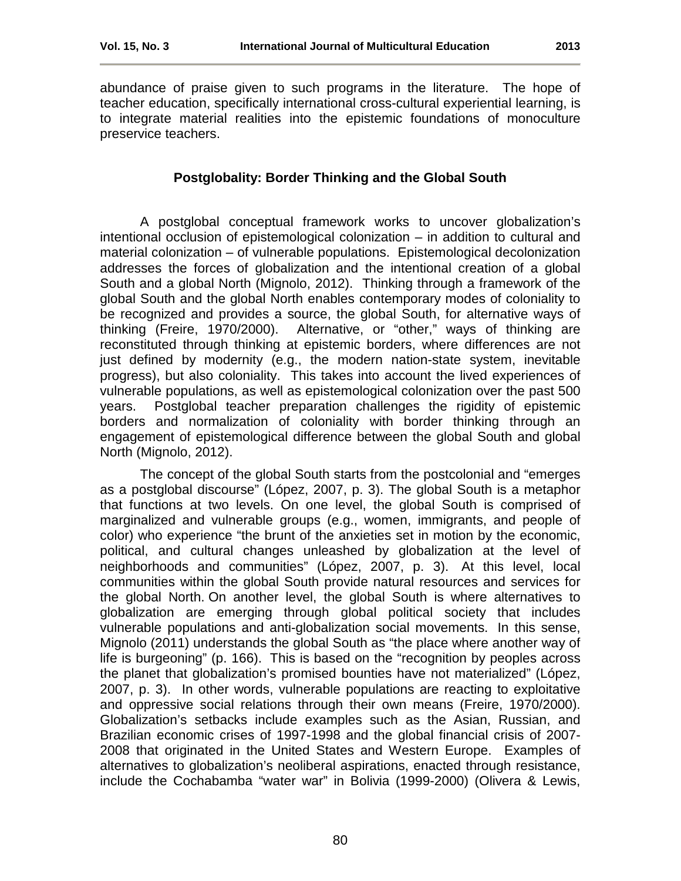<span id="page-4-0"></span>abundance of praise given to such programs in the literature. The hope of teacher education, specifically international cross-cultural experiential learning, is to integrate material realities into the epistemic foundations of monoculture preservice teachers.

## **Postglobality: Border Thinking and the Global South**

A postglobal conceptual framework works to uncover globalization's intentional occlusion of epistemological colonization – in addition to cultural and material colonization – of vulnerable populations. Epistemological decolonization addresses the forces of globalization and the intentional creation of a global South and a global North (Mignolo, 2012). Thinking through a framework of the global South and the global North enables contemporary modes of coloniality to be recognized and provides a source, the global South, for alternative ways of thinking (Freire, 1970/2000). Alternative, or "other," ways of thinking are reconstituted through thinking at epistemic borders, where differences are not just defined by modernity (e.g., the modern nation-state system, inevitable progress), but also coloniality. This takes into account the lived experiences of vulnerable populations, as well as epistemological colonization over the past 500 years. Postglobal teacher preparation challenges the rigidity of epistemic borders and normalization of coloniality with border thinking through an engagement of epistemological difference between the global South and global North (Mignolo, 2012).

The concept of the global South starts from the postcolonial and "emerges as a postglobal discourse" (López, 2007, p. 3). The global South is a metaphor that functions at two levels. On one level, the global South is comprised of marginalized and vulnerable groups (e.g., women, immigrants, and people of color) who experience "the brunt of the anxieties set in motion by the economic, political, and cultural changes unleashed by globalization at the level of neighborhoods and communities" (López, 2007, p. 3). At this level, local communities within the global South provide natural resources and services for the global North. On another level, the global South is where alternatives to globalization are emerging through global political society that includes vulnerable populations and anti-globalization social movements. In this sense, Mignolo (2011) understands the global South as "the place where another way of life is burgeoning" (p. 166). This is based on the "recognition by peoples across the planet that globalization's promised bounties have not materialized" (López, 2007, p. 3). In other words, vulnerable populations are reacting to exploitative and oppressive social relations through their own means (Freire, 1970/2000). Globalization's setbacks include examples such as the Asian, Russian, and Brazilian economic crises of 1997-1998 and the global financial crisis of 2007- 2008 that originated in the United States and Western Europe. Examples of alternatives to globalization's neoliberal aspirations, enacted through resistance, include the Cochabamba "water war" in Bolivia (1999-2000) (Olivera & Lewis,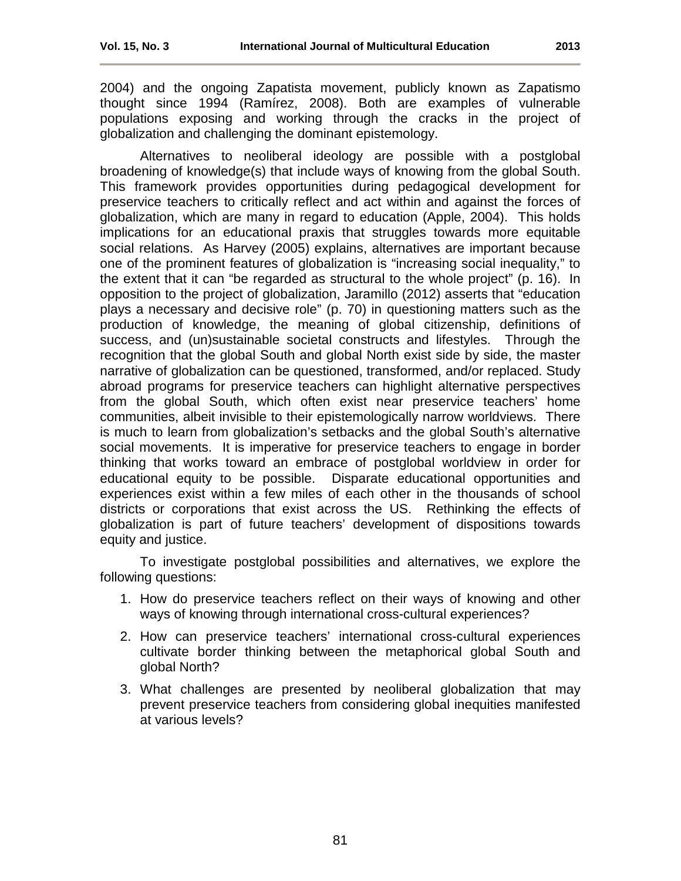2004) and the ongoing Zapatista movement, publicly known as Zapatismo thought since 1994 (Ramírez, 2008). Both are examples of vulnerable populations exposing and working through the cracks in the project of globalization and challenging the dominant epistemology.

Alternatives to neoliberal ideology are possible with a postglobal broadening of knowledge(s) that include ways of knowing from the global South. This framework provides opportunities during pedagogical development for preservice teachers to critically reflect and act within and against the forces of globalization, which are many in regard to education (Apple, 2004). This holds implications for an educational praxis that struggles towards more equitable social relations. As Harvey (2005) explains, alternatives are important because one of the prominent features of globalization is "increasing social inequality," to the extent that it can "be regarded as structural to the whole project" (p. 16). In opposition to the project of globalization, Jaramillo (2012) asserts that "education plays a necessary and decisive role" (p. 70) in questioning matters such as the production of knowledge, the meaning of global citizenship, definitions of success, and (un)sustainable societal constructs and lifestyles. Through the recognition that the global South and global North exist side by side, the master narrative of globalization can be questioned, transformed, and/or replaced. Study abroad programs for preservice teachers can highlight alternative perspectives from the global South, which often exist near preservice teachers' home communities, albeit invisible to their epistemologically narrow worldviews. There is much to learn from globalization's setbacks and the global South's alternative social movements. It is imperative for preservice teachers to engage in border thinking that works toward an embrace of postglobal worldview in order for educational equity to be possible. Disparate educational opportunities and experiences exist within a few miles of each other in the thousands of school districts or corporations that exist across the US. Rethinking the effects of globalization is part of future teachers' development of dispositions towards equity and justice.

To investigate postglobal possibilities and alternatives, we explore the following questions:

- 1. How do preservice teachers reflect on their ways of knowing and other ways of knowing through international cross-cultural experiences?
- 2. How can preservice teachers' international cross-cultural experiences cultivate border thinking between the metaphorical global South and global North?
- <span id="page-5-0"></span>3. What challenges are presented by neoliberal globalization that may prevent preservice teachers from considering global inequities manifested at various levels?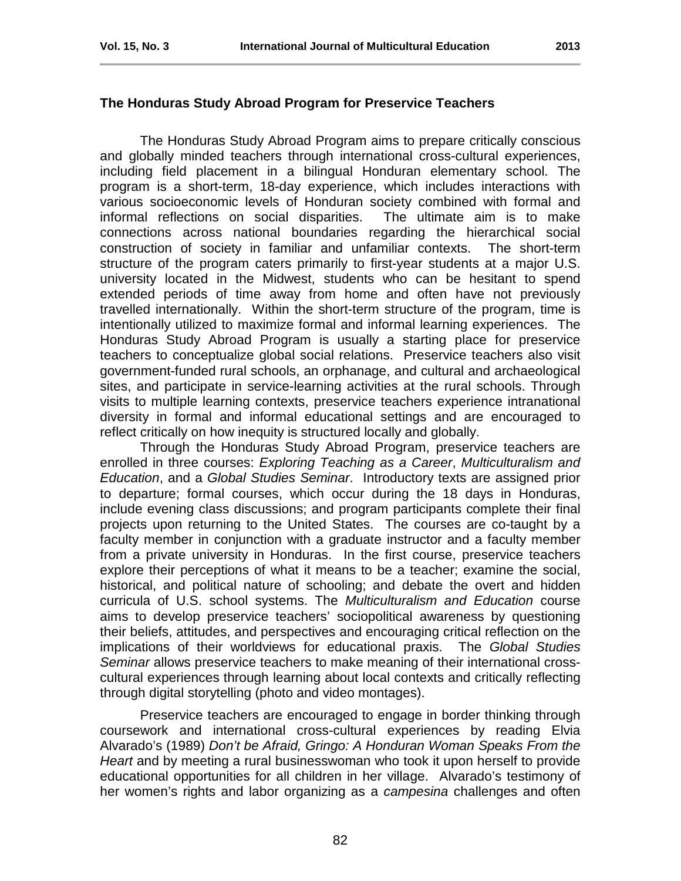### **The Honduras Study Abroad Program for Preservice Teachers**

The Honduras Study Abroad Program aims to prepare critically conscious and globally minded teachers through international cross-cultural experiences, including field placement in a bilingual Honduran elementary school. The program is a short-term, 18-day experience, which includes interactions with various socioeconomic levels of Honduran society combined with formal and informal reflections on social disparities. The ultimate aim is to make connections across national boundaries regarding the hierarchical social construction of society in familiar and unfamiliar contexts. The short-term structure of the program caters primarily to first-year students at a major U.S. university located in the Midwest, students who can be hesitant to spend extended periods of time away from home and often have not previously travelled internationally. Within the short-term structure of the program, time is intentionally utilized to maximize formal and informal learning experiences. The Honduras Study Abroad Program is usually a starting place for preservice teachers to conceptualize global social relations. Preservice teachers also visit government-funded rural schools, an orphanage, and cultural and archaeological sites, and participate in service-learning activities at the rural schools. Through visits to multiple learning contexts, preservice teachers experience intranational diversity in formal and informal educational settings and are encouraged to reflect critically on how inequity is structured locally and globally.

Through the Honduras Study Abroad Program, preservice teachers are enrolled in three courses: *Exploring Teaching as a Career*, *Multiculturalism and Education*, and a *Global Studies Seminar*. Introductory texts are assigned prior to departure; formal courses, which occur during the 18 days in Honduras, include evening class discussions; and program participants complete their final projects upon returning to the United States. The courses are co-taught by a faculty member in conjunction with a graduate instructor and a faculty member from a private university in Honduras. In the first course, preservice teachers explore their perceptions of what it means to be a teacher; examine the social, historical, and political nature of schooling; and debate the overt and hidden curricula of U.S. school systems. The *Multiculturalism and Education* course aims to develop preservice teachers' sociopolitical awareness by questioning their beliefs, attitudes, and perspectives and encouraging critical reflection on the implications of their worldviews for educational praxis. The *Global Studies Seminar* allows preservice teachers to make meaning of their international crosscultural experiences through learning about local contexts and critically reflecting through digital storytelling (photo and video montages).

Preservice teachers are encouraged to engage in border thinking through coursework and international cross-cultural experiences by reading Elvia Alvarado's (1989) *Don't be Afraid, Gringo: A Honduran Woman Speaks From the Heart* and by meeting a rural businesswoman who took it upon herself to provide educational opportunities for all children in her village. Alvarado's testimony of her women's rights and labor organizing as a *campesina* challenges and often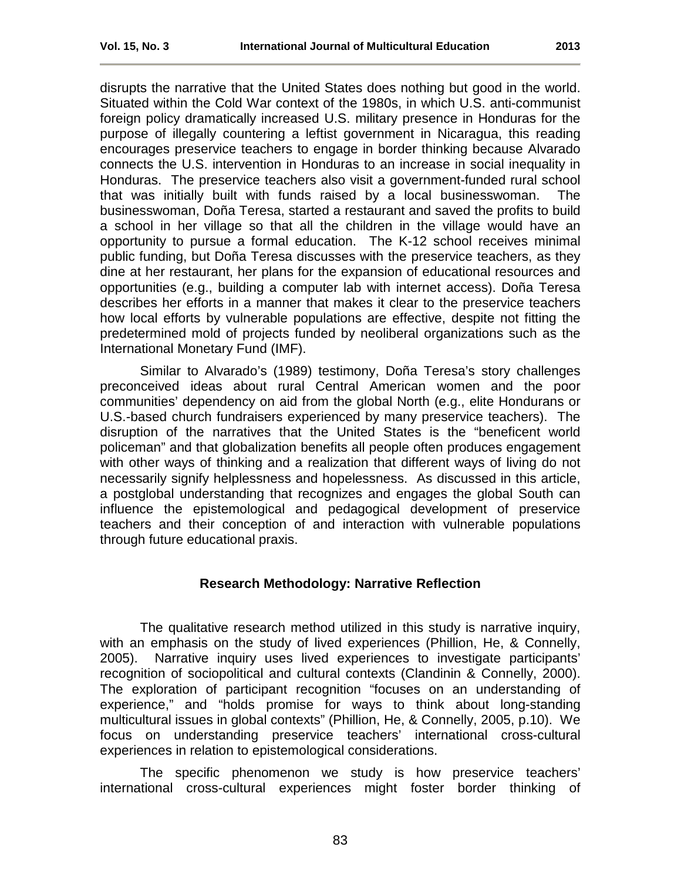disrupts the narrative that the United States does nothing but good in the world. Situated within the Cold War context of the 1980s, in which U.S. anti-communist foreign policy dramatically increased U.S. military presence in Honduras for the purpose of illegally countering a leftist government in Nicaragua, this reading encourages preservice teachers to engage in border thinking because Alvarado connects the U.S. intervention in Honduras to an increase in social inequality in Honduras. The preservice teachers also visit a government-funded rural school that was initially built with funds raised by a local businesswoman. The businesswoman, Doña Teresa, started a restaurant and saved the profits to build a school in her village so that all the children in the village would have an opportunity to pursue a formal education. The K-12 school receives minimal public funding, but Doña Teresa discusses with the preservice teachers, as they dine at her restaurant, her plans for the expansion of educational resources and opportunities (e.g., building a computer lab with internet access). Doña Teresa describes her efforts in a manner that makes it clear to the preservice teachers how local efforts by vulnerable populations are effective, despite not fitting the predetermined mold of projects funded by neoliberal organizations such as the International Monetary Fund (IMF).

Similar to Alvarado's (1989) testimony, Doña Teresa's story challenges preconceived ideas about rural Central American women and the poor communities' dependency on aid from the global North (e.g., elite Hondurans or U.S.-based church fundraisers experienced by many preservice teachers). The disruption of the narratives that the United States is the "beneficent world policeman" and that globalization benefits all people often produces engagement with other ways of thinking and a realization that different ways of living do not necessarily signify helplessness and hopelessness. As discussed in this article, a postglobal understanding that recognizes and engages the global South can influence the epistemological and pedagogical development of preservice teachers and their conception of and interaction with vulnerable populations through future educational praxis.

#### **Research Methodology: Narrative Reflection**

<span id="page-7-0"></span>The qualitative research method utilized in this study is narrative inquiry, with an emphasis on the study of lived experiences (Phillion, He, & Connelly, 2005). Narrative inquiry uses lived experiences to investigate participants' recognition of sociopolitical and cultural contexts (Clandinin & Connelly, 2000). The exploration of participant recognition "focuses on an understanding of experience," and "holds promise for ways to think about long-standing multicultural issues in global contexts" (Phillion, He, & Connelly, 2005, p.10). We focus on understanding preservice teachers' international cross-cultural experiences in relation to epistemological considerations.

The specific phenomenon we study is how preservice teachers' international cross-cultural experiences might foster border thinking of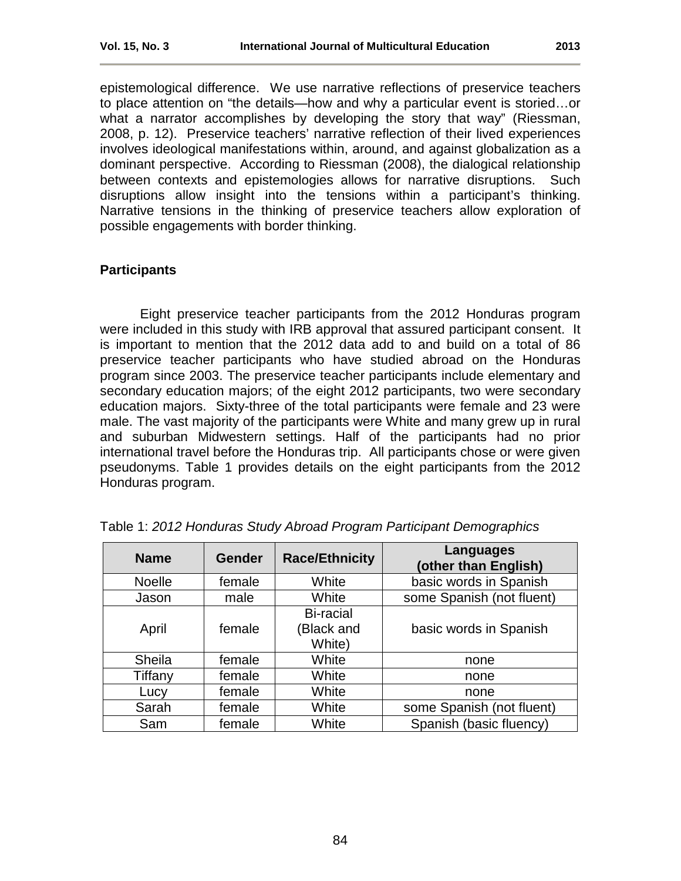epistemological difference. We use narrative reflections of preservice teachers to place attention on "the details—how and why a particular event is storied…or what a narrator accomplishes by developing the story that way" (Riessman, 2008, p. 12). Preservice teachers' narrative reflection of their lived experiences involves ideological manifestations within, around, and against globalization as a dominant perspective. According to Riessman (2008), the dialogical relationship between contexts and epistemologies allows for narrative disruptions. Such disruptions allow insight into the tensions within a participant's thinking. Narrative tensions in the thinking of preservice teachers allow exploration of possible engagements with border thinking.

## **Participants**

Eight preservice teacher participants from the 2012 Honduras program were included in this study with IRB approval that assured participant consent. It is important to mention that the 2012 data add to and build on a total of 86 preservice teacher participants who have studied abroad on the Honduras program since 2003. The preservice teacher participants include elementary and secondary education majors; of the eight 2012 participants, two were secondary education majors. Sixty-three of the total participants were female and 23 were male. The vast majority of the participants were White and many grew up in rural and suburban Midwestern settings. Half of the participants had no prior international travel before the Honduras trip. All participants chose or were given pseudonyms. Table 1 provides details on the eight participants from the 2012 Honduras program.

| <b>Name</b>   | <b>Gender</b> | <b>Race/Ethnicity</b> | Languages<br>(other than English) |
|---------------|---------------|-----------------------|-----------------------------------|
| <b>Noelle</b> | female        | White                 | basic words in Spanish            |
| Jason         | male          | White                 | some Spanish (not fluent)         |
|               |               | <b>Bi-racial</b>      |                                   |
| April         | female        | Black and<br>White)   | basic words in Spanish            |
| <b>Sheila</b> | female        | White                 | none                              |
| Tiffany       | female        | White                 | none                              |
| Lucy          | female        | White                 | none                              |
| Sarah         | female        | White                 | some Spanish (not fluent)         |
| Sam           | female        | White                 | Spanish (basic fluency)           |

|  | Table 1: 2012 Honduras Study Abroad Program Participant Demographics |
|--|----------------------------------------------------------------------|
|  |                                                                      |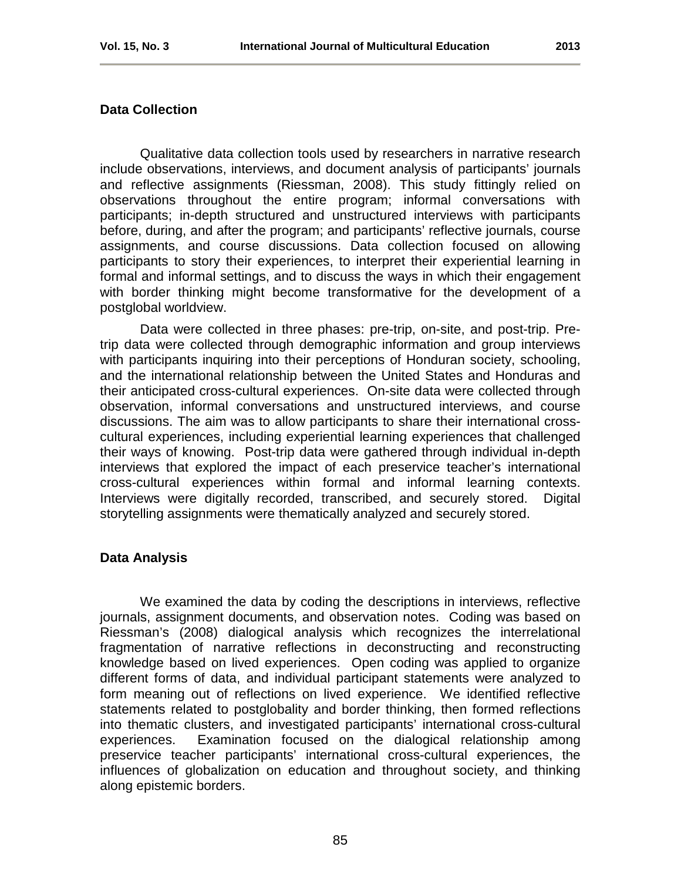### **Data Collection**

Qualitative data collection tools used by researchers in narrative research include observations, interviews, and document analysis of participants' journals and reflective assignments (Riessman, 2008). This study fittingly relied on observations throughout the entire program; informal conversations with participants; in-depth structured and unstructured interviews with participants before, during, and after the program; and participants' reflective journals, course assignments, and course discussions. Data collection focused on allowing participants to story their experiences, to interpret their experiential learning in formal and informal settings, and to discuss the ways in which their engagement with border thinking might become transformative for the development of a postglobal worldview.

Data were collected in three phases: pre-trip, on-site, and post-trip. Pretrip data were collected through demographic information and group interviews with participants inquiring into their perceptions of Honduran society, schooling, and the international relationship between the United States and Honduras and their anticipated cross-cultural experiences. On-site data were collected through observation, informal conversations and unstructured interviews, and course discussions. The aim was to allow participants to share their international crosscultural experiences, including experiential learning experiences that challenged their ways of knowing. Post-trip data were gathered through individual in-depth interviews that explored the impact of each preservice teacher's international cross-cultural experiences within formal and informal learning contexts. Interviews were digitally recorded, transcribed, and securely stored. Digital storytelling assignments were thematically analyzed and securely stored.

#### **Data Analysis**

We examined the data by coding the descriptions in interviews, reflective journals, assignment documents, and observation notes. Coding was based on Riessman's (2008) dialogical analysis which recognizes the interrelational fragmentation of narrative reflections in deconstructing and reconstructing knowledge based on lived experiences. Open coding was applied to organize different forms of data, and individual participant statements were analyzed to form meaning out of reflections on lived experience. We identified reflective statements related to postglobality and border thinking, then formed reflections into thematic clusters, and investigated participants' international cross-cultural experiences. Examination focused on the dialogical relationship among preservice teacher participants' international cross-cultural experiences, the influences of globalization on education and throughout society, and thinking along epistemic borders.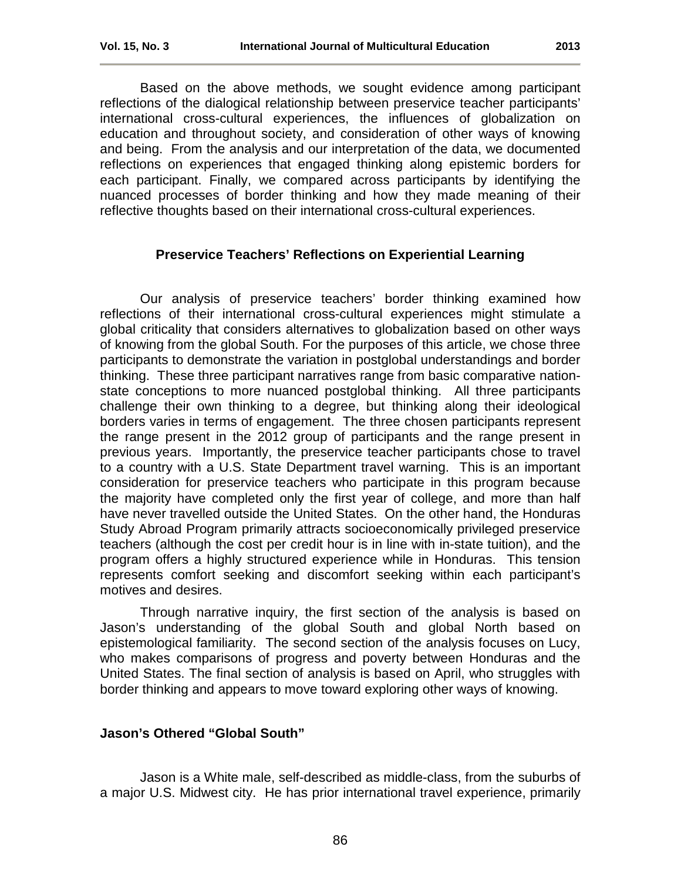Based on the above methods, we sought evidence among participant reflections of the dialogical relationship between preservice teacher participants' international cross-cultural experiences, the influences of globalization on education and throughout society, and consideration of other ways of knowing and being. From the analysis and our interpretation of the data, we documented reflections on experiences that engaged thinking along epistemic borders for each participant. Finally, we compared across participants by identifying the nuanced processes of border thinking and how they made meaning of their reflective thoughts based on their international cross-cultural experiences.

#### <span id="page-10-0"></span>**Preservice Teachers' Reflections on Experiential Learning**

Our analysis of preservice teachers' border thinking examined how reflections of their international cross-cultural experiences might stimulate a global criticality that considers alternatives to globalization based on other ways of knowing from the global South. For the purposes of this article, we chose three participants to demonstrate the variation in postglobal understandings and border thinking. These three participant narratives range from basic comparative nationstate conceptions to more nuanced postglobal thinking. All three participants challenge their own thinking to a degree, but thinking along their ideological borders varies in terms of engagement. The three chosen participants represent the range present in the 2012 group of participants and the range present in previous years. Importantly, the preservice teacher participants chose to travel to a country with a U.S. State Department travel warning. This is an important consideration for preservice teachers who participate in this program because the majority have completed only the first year of college, and more than half have never travelled outside the United States. On the other hand, the Honduras Study Abroad Program primarily attracts socioeconomically privileged preservice teachers (although the cost per credit hour is in line with in-state tuition), and the program offers a highly structured experience while in Honduras. This tension represents comfort seeking and discomfort seeking within each participant's motives and desires.

Through narrative inquiry, the first section of the analysis is based on Jason's understanding of the global South and global North based on epistemological familiarity. The second section of the analysis focuses on Lucy, who makes comparisons of progress and poverty between Honduras and the United States. The final section of analysis is based on April, who struggles with border thinking and appears to move toward exploring other ways of knowing.

#### **Jason's Othered "Global South"**

Jason is a White male, self-described as middle-class, from the suburbs of a major U.S. Midwest city. He has prior international travel experience, primarily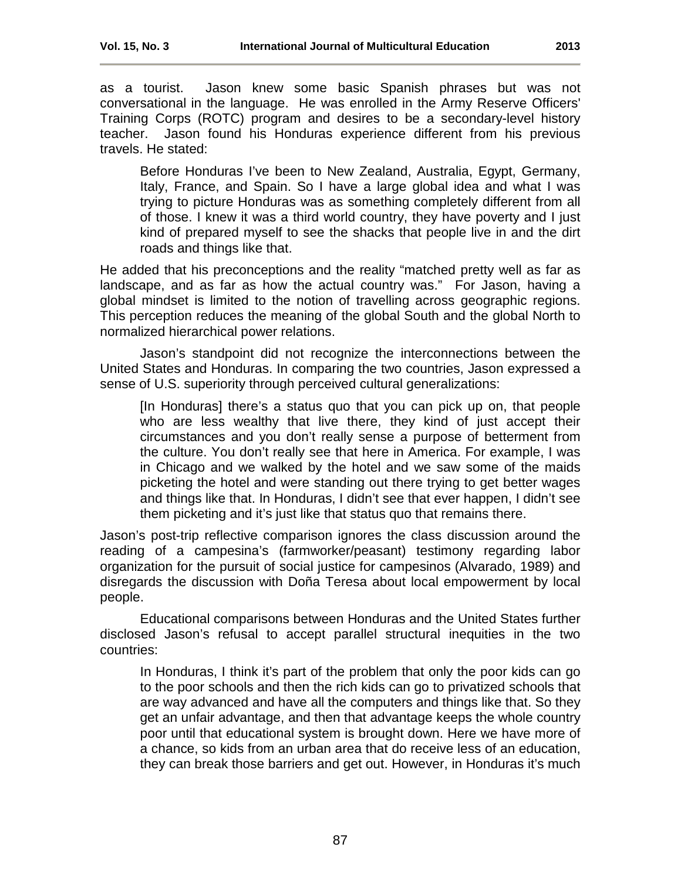as a tourist. Jason knew some basic Spanish phrases but was not conversational in the language. He was enrolled in the Army Reserve Officers' Training Corps (ROTC) program and desires to be a secondary-level history teacher. Jason found his Honduras experience different from his previous travels. He stated:

Before Honduras I've been to New Zealand, Australia, Egypt, Germany, Italy, France, and Spain. So I have a large global idea and what I was trying to picture Honduras was as something completely different from all of those. I knew it was a third world country, they have poverty and I just kind of prepared myself to see the shacks that people live in and the dirt roads and things like that.

He added that his preconceptions and the reality "matched pretty well as far as landscape, and as far as how the actual country was." For Jason, having a global mindset is limited to the notion of travelling across geographic regions. This perception reduces the meaning of the global South and the global North to normalized hierarchical power relations.

Jason's standpoint did not recognize the interconnections between the United States and Honduras. In comparing the two countries, Jason expressed a sense of U.S. superiority through perceived cultural generalizations:

[In Honduras] there's a status quo that you can pick up on, that people who are less wealthy that live there, they kind of just accept their circumstances and you don't really sense a purpose of betterment from the culture. You don't really see that here in America. For example, I was in Chicago and we walked by the hotel and we saw some of the maids picketing the hotel and were standing out there trying to get better wages and things like that. In Honduras, I didn't see that ever happen, I didn't see them picketing and it's just like that status quo that remains there.

Jason's post-trip reflective comparison ignores the class discussion around the reading of a campesina's (farmworker/peasant) testimony regarding labor organization for the pursuit of social justice for campesinos (Alvarado, 1989) and disregards the discussion with Doña Teresa about local empowerment by local people.

Educational comparisons between Honduras and the United States further disclosed Jason's refusal to accept parallel structural inequities in the two countries:

In Honduras, I think it's part of the problem that only the poor kids can go to the poor schools and then the rich kids can go to privatized schools that are way advanced and have all the computers and things like that. So they get an unfair advantage, and then that advantage keeps the whole country poor until that educational system is brought down. Here we have more of a chance, so kids from an urban area that do receive less of an education, they can break those barriers and get out. However, in Honduras it's much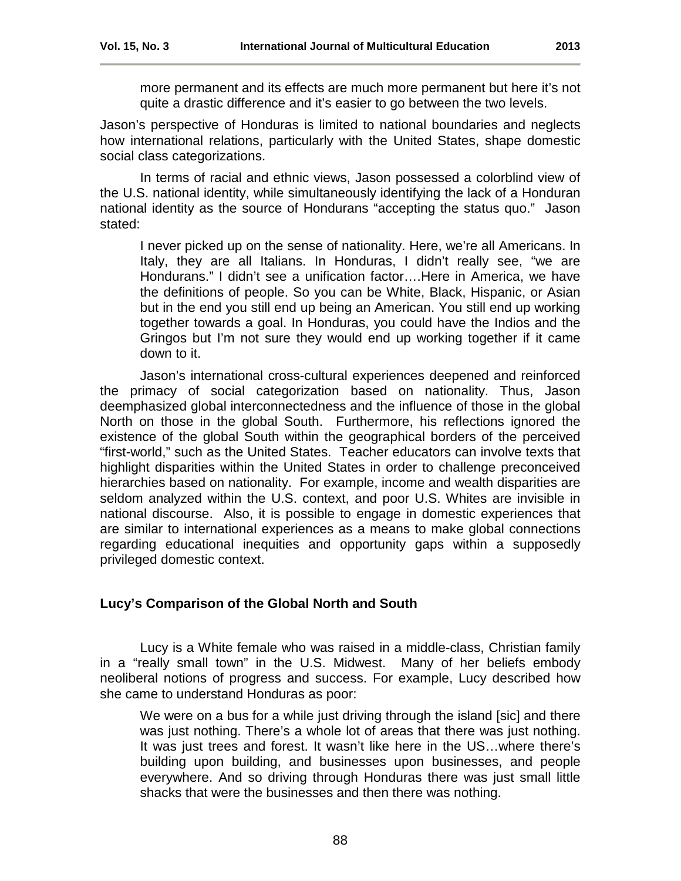more permanent and its effects are much more permanent but here it's not quite a drastic difference and it's easier to go between the two levels.

Jason's perspective of Honduras is limited to national boundaries and neglects how international relations, particularly with the United States, shape domestic social class categorizations.

In terms of racial and ethnic views, Jason possessed a colorblind view of the U.S. national identity, while simultaneously identifying the lack of a Honduran national identity as the source of Hondurans "accepting the status quo." Jason stated:

I never picked up on the sense of nationality. Here, we're all Americans. In Italy, they are all Italians. In Honduras, I didn't really see, "we are Hondurans." I didn't see a unification factor….Here in America, we have the definitions of people. So you can be White, Black, Hispanic, or Asian but in the end you still end up being an American. You still end up working together towards a goal. In Honduras, you could have the Indios and the Gringos but I'm not sure they would end up working together if it came down to it.

Jason's international cross-cultural experiences deepened and reinforced the primacy of social categorization based on nationality. Thus, Jason deemphasized global interconnectedness and the influence of those in the global North on those in the global South. Furthermore, his reflections ignored the existence of the global South within the geographical borders of the perceived "first-world," such as the United States. Teacher educators can involve texts that highlight disparities within the United States in order to challenge preconceived hierarchies based on nationality. For example, income and wealth disparities are seldom analyzed within the U.S. context, and poor U.S. Whites are invisible in national discourse. Also, it is possible to engage in domestic experiences that are similar to international experiences as a means to make global connections regarding educational inequities and opportunity gaps within a supposedly privileged domestic context.

### **Lucy's Comparison of the Global North and South**

Lucy is a White female who was raised in a middle-class, Christian family in a "really small town" in the U.S. Midwest. Many of her beliefs embody neoliberal notions of progress and success. For example, Lucy described how she came to understand Honduras as poor:

We were on a bus for a while just driving through the island [sic] and there was just nothing. There's a whole lot of areas that there was just nothing. It was just trees and forest. It wasn't like here in the US…where there's building upon building, and businesses upon businesses, and people everywhere. And so driving through Honduras there was just small little shacks that were the businesses and then there was nothing.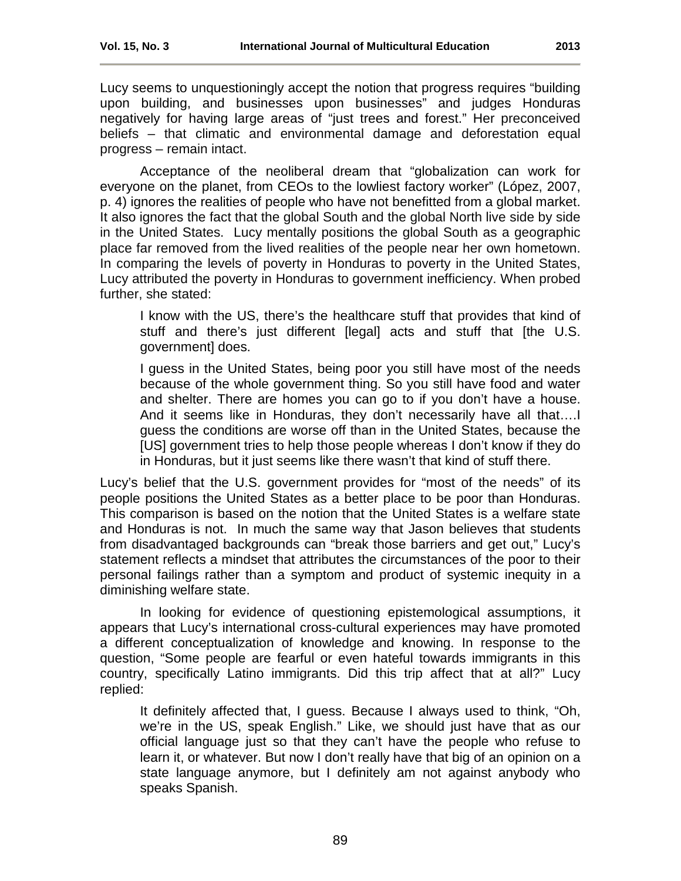Lucy seems to unquestioningly accept the notion that progress requires "building upon building, and businesses upon businesses" and judges Honduras negatively for having large areas of "just trees and forest." Her preconceived beliefs – that climatic and environmental damage and deforestation equal progress – remain intact.

Acceptance of the neoliberal dream that "globalization can work for everyone on the planet, from CEOs to the lowliest factory worker" (López, 2007, p. 4) ignores the realities of people who have not benefitted from a global market. It also ignores the fact that the global South and the global North live side by side in the United States. Lucy mentally positions the global South as a geographic place far removed from the lived realities of the people near her own hometown. In comparing the levels of poverty in Honduras to poverty in the United States, Lucy attributed the poverty in Honduras to government inefficiency. When probed further, she stated:

I know with the US, there's the healthcare stuff that provides that kind of stuff and there's just different [legal] acts and stuff that [the U.S. government] does.

I guess in the United States, being poor you still have most of the needs because of the whole government thing. So you still have food and water and shelter. There are homes you can go to if you don't have a house. And it seems like in Honduras, they don't necessarily have all that….I guess the conditions are worse off than in the United States, because the [US] government tries to help those people whereas I don't know if they do in Honduras, but it just seems like there wasn't that kind of stuff there.

Lucy's belief that the U.S. government provides for "most of the needs" of its people positions the United States as a better place to be poor than Honduras. This comparison is based on the notion that the United States is a welfare state and Honduras is not. In much the same way that Jason believes that students from disadvantaged backgrounds can "break those barriers and get out," Lucy's statement reflects a mindset that attributes the circumstances of the poor to their personal failings rather than a symptom and product of systemic inequity in a diminishing welfare state.

In looking for evidence of questioning epistemological assumptions, it appears that Lucy's international cross-cultural experiences may have promoted a different conceptualization of knowledge and knowing. In response to the question, "Some people are fearful or even hateful towards immigrants in this country, specifically Latino immigrants. Did this trip affect that at all?" Lucy replied:

It definitely affected that, I guess. Because I always used to think, "Oh, we're in the US, speak English." Like, we should just have that as our official language just so that they can't have the people who refuse to learn it, or whatever. But now I don't really have that big of an opinion on a state language anymore, but I definitely am not against anybody who speaks Spanish.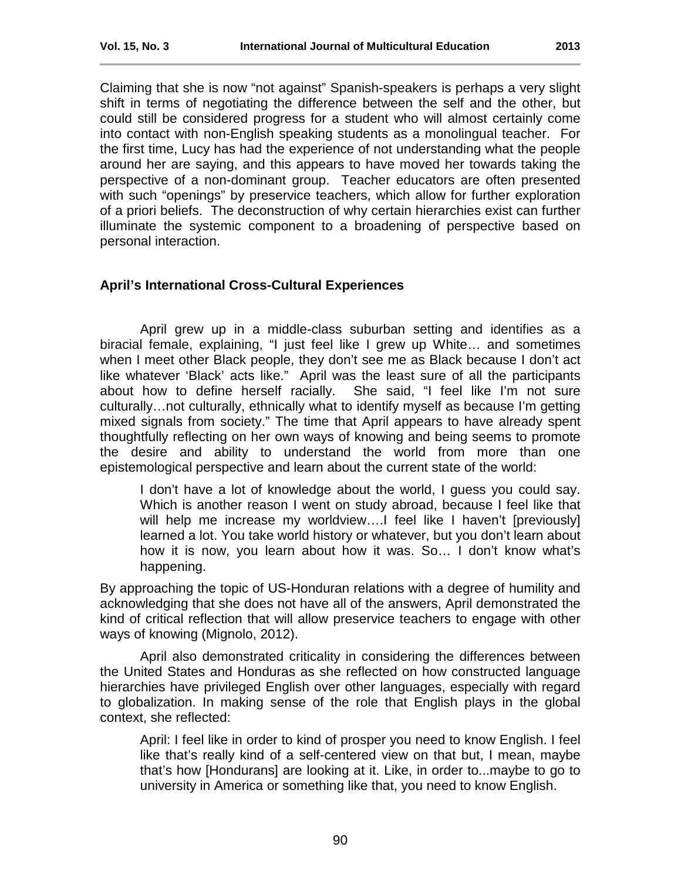Claiming that she is now "not against" Spanish-speakers is perhaps a very slight shift in terms of negotiating the difference between the self and the other, but could still be considered progress for a student who will almost certainly come into contact with non-English speaking students as a monolingual teacher. For the first time, Lucy has had the experience of not understanding what the people around her are saying, and this appears to have moved her towards taking the perspective of a non-dominant group. Teacher educators are often presented with such "openings" by preservice teachers, which allow for further exploration of a priori beliefs. The deconstruction of why certain hierarchies exist can further illuminate the systemic component to a broadening of perspective based on personal interaction.

#### **April's International Cross-Cultural Experiences**

April grew up in a middle-class suburban setting and identifies as a biracial female, explaining, "I just feel like I grew up White… and sometimes when I meet other Black people, they don't see me as Black because I don't act like whatever 'Black' acts like." April was the least sure of all the participants about how to define herself racially. She said, "I feel like I'm not sure culturally…not culturally, ethnically what to identify myself as because I'm getting mixed signals from society." The time that April appears to have already spent thoughtfully reflecting on her own ways of knowing and being seems to promote the desire and ability to understand the world from more than one epistemological perspective and learn about the current state of the world:

I don't have a lot of knowledge about the world, I guess you could say. Which is another reason I went on study abroad, because I feel like that will help me increase my worldview.... I feel like I haven't [previously] learned a lot. You take world history or whatever, but you don't learn about how it is now, you learn about how it was. So… I don't know what's happening.

By approaching the topic of US-Honduran relations with a degree of humility and acknowledging that she does not have all of the answers, April demonstrated the kind of critical reflection that will allow preservice teachers to engage with other ways of knowing (Mignolo, 2012).

April also demonstrated criticality in considering the differences between the United States and Honduras as she reflected on how constructed language hierarchies have privileged English over other languages, especially with regard to globalization. In making sense of the role that English plays in the global context, she reflected:

April: I feel like in order to kind of prosper you need to know English. I feel like that's really kind of a self-centered view on that but, I mean, maybe that's how [Hondurans] are looking at it. Like, in order to...maybe to go to university in America or something like that, you need to know English.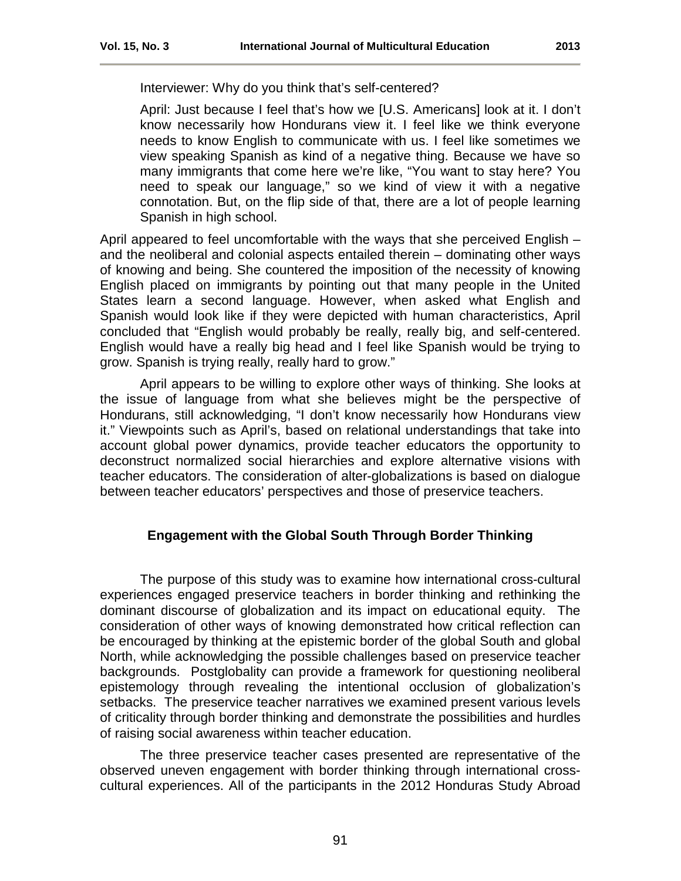Interviewer: Why do you think that's self-centered?

April: Just because I feel that's how we [U.S. Americans] look at it. I don't know necessarily how Hondurans view it. I feel like we think everyone needs to know English to communicate with us. I feel like sometimes we view speaking Spanish as kind of a negative thing. Because we have so many immigrants that come here we're like, "You want to stay here? You need to speak our language," so we kind of view it with a negative connotation. But, on the flip side of that, there are a lot of people learning Spanish in high school.

April appeared to feel uncomfortable with the ways that she perceived English – and the neoliberal and colonial aspects entailed therein – dominating other ways of knowing and being. She countered the imposition of the necessity of knowing English placed on immigrants by pointing out that many people in the United States learn a second language. However, when asked what English and Spanish would look like if they were depicted with human characteristics, April concluded that "English would probably be really, really big, and self-centered. English would have a really big head and I feel like Spanish would be trying to grow. Spanish is trying really, really hard to grow."

April appears to be willing to explore other ways of thinking. She looks at the issue of language from what she believes might be the perspective of Hondurans, still acknowledging, "I don't know necessarily how Hondurans view it." Viewpoints such as April's, based on relational understandings that take into account global power dynamics, provide teacher educators the opportunity to deconstruct normalized social hierarchies and explore alternative visions with teacher educators. The consideration of alter-globalizations is based on dialogue between teacher educators' perspectives and those of preservice teachers.

### **Engagement with the Global South Through Border Thinking**

<span id="page-15-0"></span>The purpose of this study was to examine how international cross-cultural experiences engaged preservice teachers in border thinking and rethinking the dominant discourse of globalization and its impact on educational equity. The consideration of other ways of knowing demonstrated how critical reflection can be encouraged by thinking at the epistemic border of the global South and global North, while acknowledging the possible challenges based on preservice teacher backgrounds. Postglobality can provide a framework for questioning neoliberal epistemology through revealing the intentional occlusion of globalization's setbacks. The preservice teacher narratives we examined present various levels of criticality through border thinking and demonstrate the possibilities and hurdles of raising social awareness within teacher education.

The three preservice teacher cases presented are representative of the observed uneven engagement with border thinking through international crosscultural experiences. All of the participants in the 2012 Honduras Study Abroad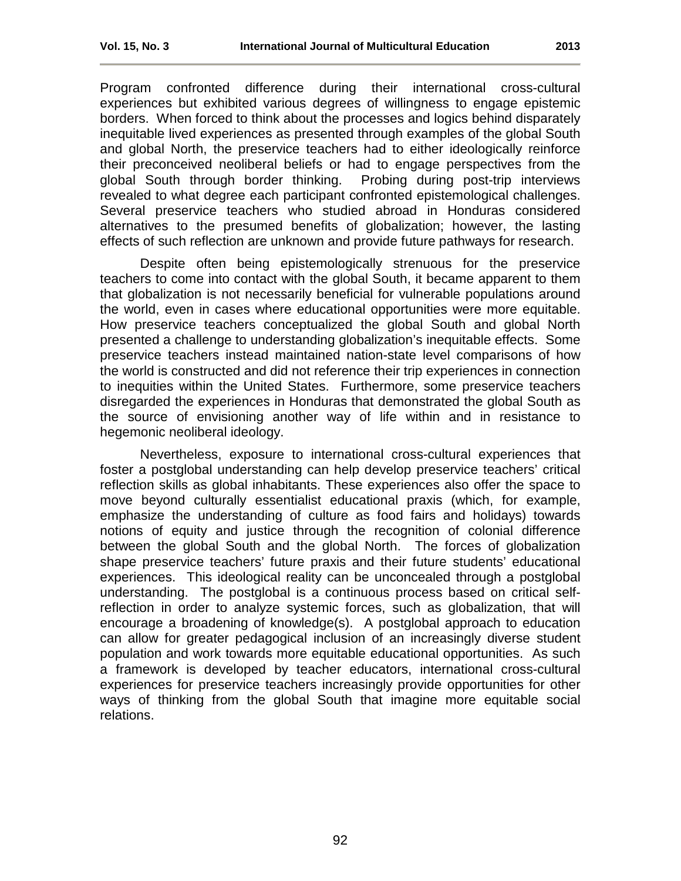Program confronted difference during their international cross-cultural experiences but exhibited various degrees of willingness to engage epistemic borders. When forced to think about the processes and logics behind disparately inequitable lived experiences as presented through examples of the global South and global North, the preservice teachers had to either ideologically reinforce their preconceived neoliberal beliefs or had to engage perspectives from the global South through border thinking. Probing during post-trip interviews revealed to what degree each participant confronted epistemological challenges. Several preservice teachers who studied abroad in Honduras considered alternatives to the presumed benefits of globalization; however, the lasting effects of such reflection are unknown and provide future pathways for research.

Despite often being epistemologically strenuous for the preservice teachers to come into contact with the global South, it became apparent to them that globalization is not necessarily beneficial for vulnerable populations around the world, even in cases where educational opportunities were more equitable. How preservice teachers conceptualized the global South and global North presented a challenge to understanding globalization's inequitable effects. Some preservice teachers instead maintained nation-state level comparisons of how the world is constructed and did not reference their trip experiences in connection to inequities within the United States. Furthermore, some preservice teachers disregarded the experiences in Honduras that demonstrated the global South as the source of envisioning another way of life within and in resistance to hegemonic neoliberal ideology.

Nevertheless, exposure to international cross-cultural experiences that foster a postglobal understanding can help develop preservice teachers' critical reflection skills as global inhabitants. These experiences also offer the space to move beyond culturally essentialist educational praxis (which, for example, emphasize the understanding of culture as food fairs and holidays) towards notions of equity and justice through the recognition of colonial difference between the global South and the global North. The forces of globalization shape preservice teachers' future praxis and their future students' educational experiences. This ideological reality can be unconcealed through a postglobal understanding. The postglobal is a continuous process based on critical selfreflection in order to analyze systemic forces, such as globalization, that will encourage a broadening of knowledge(s). A postglobal approach to education can allow for greater pedagogical inclusion of an increasingly diverse student population and work towards more equitable educational opportunities. As such a framework is developed by teacher educators, international cross-cultural experiences for preservice teachers increasingly provide opportunities for other ways of thinking from the global South that imagine more equitable social relations.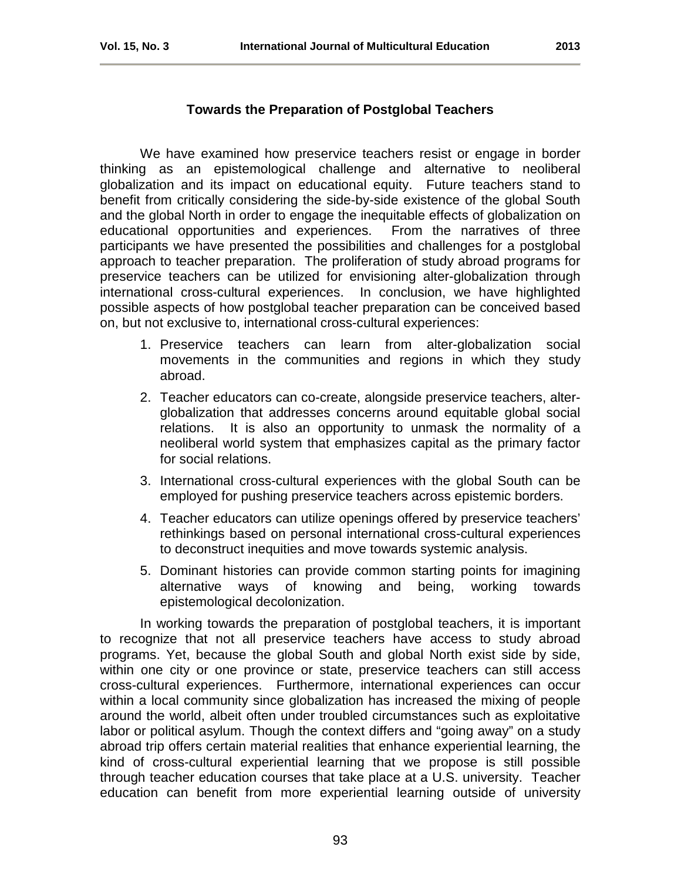### **Towards the Preparation of Postglobal Teachers**

<span id="page-17-0"></span>We have examined how preservice teachers resist or engage in border thinking as an epistemological challenge and alternative to neoliberal globalization and its impact on educational equity. Future teachers stand to benefit from critically considering the side-by-side existence of the global South and the global North in order to engage the inequitable effects of globalization on educational opportunities and experiences. From the narratives of three participants we have presented the possibilities and challenges for a postglobal approach to teacher preparation. The proliferation of study abroad programs for preservice teachers can be utilized for envisioning alter-globalization through international cross-cultural experiences. In conclusion, we have highlighted possible aspects of how postglobal teacher preparation can be conceived based on, but not exclusive to, international cross-cultural experiences:

- 1. Preservice teachers can learn from alter-globalization social movements in the communities and regions in which they study abroad.
- 2. Teacher educators can co-create, alongside preservice teachers, alterglobalization that addresses concerns around equitable global social relations. It is also an opportunity to unmask the normality of a neoliberal world system that emphasizes capital as the primary factor for social relations.
- 3. International cross-cultural experiences with the global South can be employed for pushing preservice teachers across epistemic borders.
- 4. Teacher educators can utilize openings offered by preservice teachers' rethinkings based on personal international cross-cultural experiences to deconstruct inequities and move towards systemic analysis.
- 5. Dominant histories can provide common starting points for imagining alternative ways of knowing and being, working towards epistemological decolonization.

In working towards the preparation of postglobal teachers, it is important to recognize that not all preservice teachers have access to study abroad programs. Yet, because the global South and global North exist side by side, within one city or one province or state, preservice teachers can still access cross-cultural experiences. Furthermore, international experiences can occur within a local community since globalization has increased the mixing of people around the world, albeit often under troubled circumstances such as exploitative labor or political asylum. Though the context differs and "going away" on a study abroad trip offers certain material realities that enhance experiential learning, the kind of cross-cultural experiential learning that we propose is still possible through teacher education courses that take place at a U.S. university. Teacher education can benefit from more experiential learning outside of university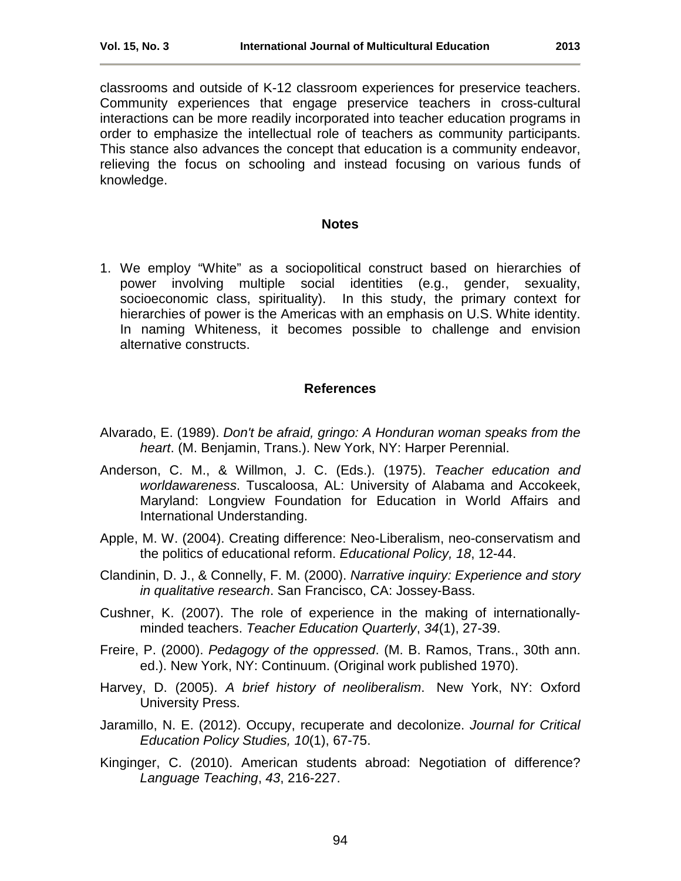classrooms and outside of K-12 classroom experiences for preservice teachers. Community experiences that engage preservice teachers in cross-cultural interactions can be more readily incorporated into teacher education programs in order to emphasize the intellectual role of teachers as community participants. This stance also advances the concept that education is a community endeavor, relieving the focus on schooling and instead focusing on various funds of knowledge.

#### **Notes**

<span id="page-18-2"></span><span id="page-18-0"></span>1. We employ "White" as a sociopolitical construct based on hierarchies of power involving multiple social identities (e.g., gender, sexuality, socioeconomic class, spirituality). In this study, the primary context for hierarchies of power is the Americas with an emphasis on U.S. White identity. In naming Whiteness, it becomes possible to challenge and envision alternative constructs.

#### **References**

- <span id="page-18-1"></span>Alvarado, E. (1989). *Don't be afraid, gringo: A Honduran woman speaks from the heart*. (M. Benjamin, Trans.). New York, NY: Harper Perennial.
- Anderson, C. M., & Willmon, J. C. (Eds.). (1975). *Teacher education and worldawareness*. Tuscaloosa, AL: University of Alabama and Accokeek, Maryland: Longview Foundation for Education in World Affairs and International Understanding.
- Apple, M. W. (2004). Creating difference: Neo-Liberalism, neo-conservatism and the politics of educational reform. *Educational Policy, 18*, 12-44.
- Clandinin, D. J., & Connelly, F. M. (2000). *Narrative inquiry: Experience and story in qualitative research*. San Francisco, CA: Jossey-Bass.
- Cushner, K. (2007). The role of experience in the making of internationallyminded teachers. *Teacher Education Quarterly*, *34*(1), 27-39.
- Freire, P. (2000). *Pedagogy of the oppressed*. (M. B. Ramos, Trans., 30th ann. ed.). New York, NY: Continuum. (Original work published 1970).
- Harvey, D. (2005). *A brief history of neoliberalism*. New York, NY: Oxford University Press.
- Jaramillo, N. E. (2012). Occupy, recuperate and decolonize. *Journal for Critical Education Policy Studies, 10*(1), 67-75.
- Kinginger, C. (2010). American students abroad: Negotiation of difference? *Language Teaching*, *43*, 216-227.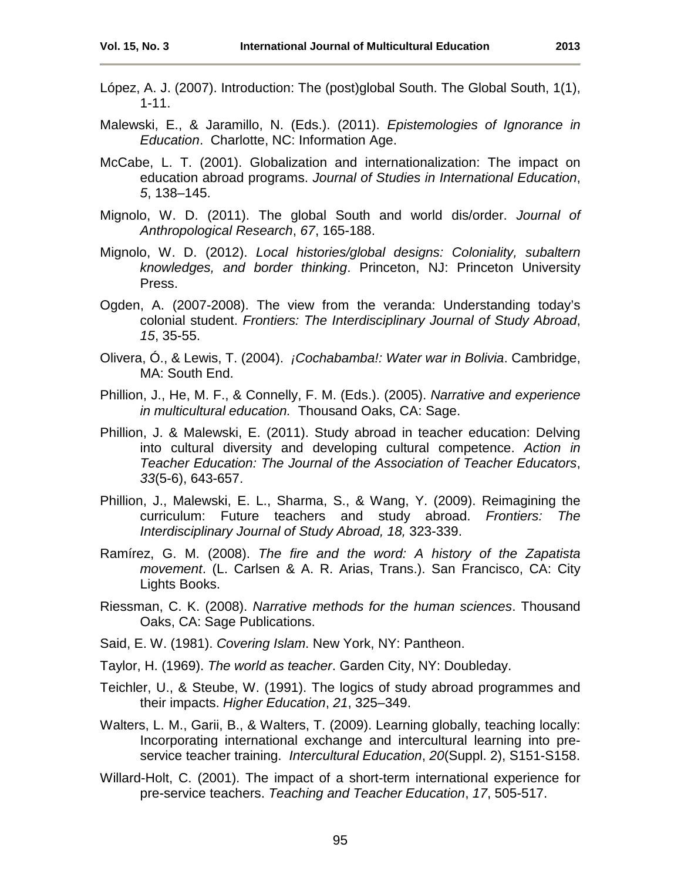- López, A. J. (2007). Introduction: The (post)global South. The Global South, 1(1), 1-11.
- Malewski, E., & Jaramillo, N. (Eds.). (2011). *Epistemologies of Ignorance in Education*. Charlotte, NC: Information Age.
- McCabe, L. T. (2001). Globalization and internationalization: The impact on education abroad programs. *Journal of Studies in International Education*, *5*, 138–145.
- Mignolo, W. D. (2011). The global South and world dis/order. *Journal of Anthropological Research*, *67*, 165-188.
- Mignolo, W. D. (2012). *Local histories/global designs: Coloniality, subaltern knowledges, and border thinking*. Princeton, NJ: Princeton University Press.
- Ogden, A. (2007-2008). The view from the veranda: Understanding today's colonial student. *Frontiers: The Interdisciplinary Journal of Study Abroad*, *15*, 35-55.
- Olivera, Ó., & Lewis, T. (2004). *¡Cochabamba!: Water war in Bolivia*. Cambridge, MA: South End.
- Phillion, J., He, M. F., & Connelly, F. M. (Eds.). (2005). *Narrative and experience in multicultural education.* Thousand Oaks, CA: Sage.
- Phillion, J. & Malewski, E. (2011). Study abroad in teacher education: Delving into cultural diversity and developing cultural competence. *Action in Teacher Education: The Journal of the Association of Teacher Educators*, *33*(5-6), 643-657.
- Phillion, J., Malewski, E. L., Sharma, S., & Wang, Y. (2009). Reimagining the curriculum: Future teachers and study abroad. *Frontiers: The Interdisciplinary Journal of Study Abroad, 18,* 323-339.
- Ramírez, G. M. (2008). *The fire and the word: A history of the Zapatista movement*. (L. Carlsen & A. R. Arias, Trans.). San Francisco, CA: City Lights Books.
- Riessman, C. K. (2008). *Narrative methods for the human sciences*. Thousand Oaks, CA: Sage Publications.
- Said, E. W. (1981). *Covering Islam*. New York, NY: Pantheon.
- Taylor, H. (1969). *The world as teacher*. Garden City, NY: Doubleday.
- Teichler, U., & Steube, W. (1991). The logics of study abroad programmes and their impacts. *Higher Education*, *21*, 325–349.
- Walters, L. M., Garii, B., & Walters, T. (2009). Learning globally, teaching locally: Incorporating international exchange and intercultural learning into preservice teacher training. *Intercultural Education*, *20*(Suppl. 2), S151-S158.
- Willard-Holt, C. (2001). The impact of a short-term international experience for pre-service teachers. *Teaching and Teacher Education*, *17*, 505-517.